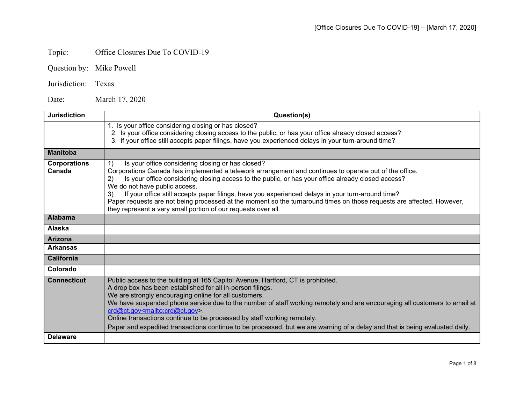## Topic: Office Closures Due To COVID-19

Jurisdiction: Texas

Date: March 17, 2020

| <b>Jurisdiction</b>           | Question(s)                                                                                                                                                                                                                                                                                                                                                                                                                                                                                                                                                                                                          |
|-------------------------------|----------------------------------------------------------------------------------------------------------------------------------------------------------------------------------------------------------------------------------------------------------------------------------------------------------------------------------------------------------------------------------------------------------------------------------------------------------------------------------------------------------------------------------------------------------------------------------------------------------------------|
|                               | 1. Is your office considering closing or has closed?<br>2. Is your office considering closing access to the public, or has your office already closed access?<br>3. If your office still accepts paper filings, have you experienced delays in your turn-around time?                                                                                                                                                                                                                                                                                                                                                |
| <b>Manitoba</b>               |                                                                                                                                                                                                                                                                                                                                                                                                                                                                                                                                                                                                                      |
| <b>Corporations</b><br>Canada | 1)<br>Is your office considering closing or has closed?<br>Corporations Canada has implemented a telework arrangement and continues to operate out of the office.<br>Is your office considering closing access to the public, or has your office already closed access?<br>(2)<br>We do not have public access.<br>If your office still accepts paper filings, have you experienced delays in your turn-around time?<br>3)<br>Paper requests are not being processed at the moment so the turnaround times on those requests are affected. However,<br>they represent a very small portion of our requests over all. |
| <b>Alabama</b>                |                                                                                                                                                                                                                                                                                                                                                                                                                                                                                                                                                                                                                      |
| Alaska                        |                                                                                                                                                                                                                                                                                                                                                                                                                                                                                                                                                                                                                      |
| <b>Arizona</b>                |                                                                                                                                                                                                                                                                                                                                                                                                                                                                                                                                                                                                                      |
| <b>Arkansas</b>               |                                                                                                                                                                                                                                                                                                                                                                                                                                                                                                                                                                                                                      |
| <b>California</b>             |                                                                                                                                                                                                                                                                                                                                                                                                                                                                                                                                                                                                                      |
| Colorado                      |                                                                                                                                                                                                                                                                                                                                                                                                                                                                                                                                                                                                                      |
| <b>Connecticut</b>            | Public access to the building at 165 Capitol Avenue, Hartford, CT is prohibited.<br>A drop box has been established for all in-person filings.<br>We are strongly encouraging online for all customers.<br>We have suspended phone service due to the number of staff working remotely and are encouraging all customers to email at<br>crd@ct.gov <mailto:crd@ct.gov>.<br/>Online transactions continue to be processed by staff working remotely.<br/>Paper and expedited transactions continue to be processed, but we are warning of a delay and that is being evaluated daily.</mailto:crd@ct.gov>              |
| <b>Delaware</b>               |                                                                                                                                                                                                                                                                                                                                                                                                                                                                                                                                                                                                                      |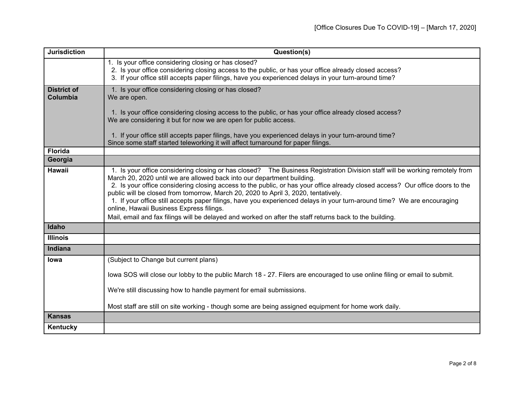| <b>Jurisdiction</b>            | Question(s)                                                                                                                                                                                                                                                                                                                                                                                                                                                                                                                                                                                                                                                                                                    |
|--------------------------------|----------------------------------------------------------------------------------------------------------------------------------------------------------------------------------------------------------------------------------------------------------------------------------------------------------------------------------------------------------------------------------------------------------------------------------------------------------------------------------------------------------------------------------------------------------------------------------------------------------------------------------------------------------------------------------------------------------------|
|                                | 1. Is your office considering closing or has closed?<br>2. Is your office considering closing access to the public, or has your office already closed access?<br>3. If your office still accepts paper filings, have you experienced delays in your turn-around time?                                                                                                                                                                                                                                                                                                                                                                                                                                          |
| <b>District of</b><br>Columbia | 1. Is your office considering closing or has closed?<br>We are open.                                                                                                                                                                                                                                                                                                                                                                                                                                                                                                                                                                                                                                           |
|                                | 1. Is your office considering closing access to the public, or has your office already closed access?<br>We are considering it but for now we are open for public access.                                                                                                                                                                                                                                                                                                                                                                                                                                                                                                                                      |
|                                | 1. If your office still accepts paper filings, have you experienced delays in your turn-around time?<br>Since some staff started teleworking it will affect turnaround for paper filings.                                                                                                                                                                                                                                                                                                                                                                                                                                                                                                                      |
| <b>Florida</b>                 |                                                                                                                                                                                                                                                                                                                                                                                                                                                                                                                                                                                                                                                                                                                |
| Georgia                        |                                                                                                                                                                                                                                                                                                                                                                                                                                                                                                                                                                                                                                                                                                                |
| <b>Hawaii</b>                  | 1. Is your office considering closing or has closed? The Business Registration Division staff will be working remotely from<br>March 20, 2020 until we are allowed back into our department building.<br>2. Is your office considering closing access to the public, or has your office already closed access? Our office doors to the<br>public will be closed from tomorrow, March 20, 2020 to April 3, 2020, tentatively.<br>1. If your office still accepts paper filings, have you experienced delays in your turn-around time? We are encouraging<br>online, Hawaii Business Express filings.<br>Mail, email and fax filings will be delayed and worked on after the staff returns back to the building. |
| Idaho                          |                                                                                                                                                                                                                                                                                                                                                                                                                                                                                                                                                                                                                                                                                                                |
| <b>Illinois</b>                |                                                                                                                                                                                                                                                                                                                                                                                                                                                                                                                                                                                                                                                                                                                |
| Indiana                        |                                                                                                                                                                                                                                                                                                                                                                                                                                                                                                                                                                                                                                                                                                                |
| Iowa                           | (Subject to Change but current plans)                                                                                                                                                                                                                                                                                                                                                                                                                                                                                                                                                                                                                                                                          |
|                                | lowa SOS will close our lobby to the public March 18 - 27. Filers are encouraged to use online filing or email to submit.                                                                                                                                                                                                                                                                                                                                                                                                                                                                                                                                                                                      |
|                                | We're still discussing how to handle payment for email submissions.                                                                                                                                                                                                                                                                                                                                                                                                                                                                                                                                                                                                                                            |
|                                | Most staff are still on site working - though some are being assigned equipment for home work daily.                                                                                                                                                                                                                                                                                                                                                                                                                                                                                                                                                                                                           |
| <b>Kansas</b>                  |                                                                                                                                                                                                                                                                                                                                                                                                                                                                                                                                                                                                                                                                                                                |
| Kentucky                       |                                                                                                                                                                                                                                                                                                                                                                                                                                                                                                                                                                                                                                                                                                                |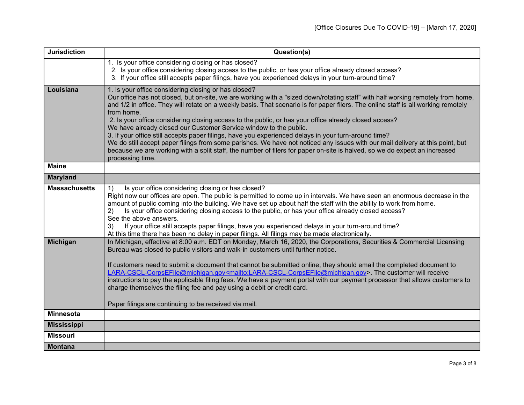| <b>Jurisdiction</b>  | Question(s)                                                                                                                                                                                                                                                                                                                                                                                                                                                                                                                                                                                                                                                                                                                                                                                                                                                                                                         |
|----------------------|---------------------------------------------------------------------------------------------------------------------------------------------------------------------------------------------------------------------------------------------------------------------------------------------------------------------------------------------------------------------------------------------------------------------------------------------------------------------------------------------------------------------------------------------------------------------------------------------------------------------------------------------------------------------------------------------------------------------------------------------------------------------------------------------------------------------------------------------------------------------------------------------------------------------|
|                      | 1. Is your office considering closing or has closed?<br>2. Is your office considering closing access to the public, or has your office already closed access?<br>3. If your office still accepts paper filings, have you experienced delays in your turn-around time?                                                                                                                                                                                                                                                                                                                                                                                                                                                                                                                                                                                                                                               |
| Louisiana            | 1. Is your office considering closing or has closed?<br>Our office has not closed, but on-site, we are working with a "sized down/rotating staff" with half working remotely from home,<br>and 1/2 in office. They will rotate on a weekly basis. That scenario is for paper filers. The online staff is all working remotely<br>from home.<br>2. Is your office considering closing access to the public, or has your office already closed access?<br>We have already closed our Customer Service window to the public.<br>3. If your office still accepts paper filings, have you experienced delays in your turn-around time?<br>We do still accept paper filings from some parishes. We have not noticed any issues with our mail delivery at this point, but<br>because we are working with a split staff, the number of filers for paper on-site is halved, so we do expect an increased<br>processing time. |
| <b>Maine</b>         |                                                                                                                                                                                                                                                                                                                                                                                                                                                                                                                                                                                                                                                                                                                                                                                                                                                                                                                     |
| <b>Maryland</b>      |                                                                                                                                                                                                                                                                                                                                                                                                                                                                                                                                                                                                                                                                                                                                                                                                                                                                                                                     |
| <b>Massachusetts</b> | Is your office considering closing or has closed?<br>$\left( \begin{matrix} 1 \end{matrix} \right)$<br>Right now our offices are open. The public is permitted to come up in intervals. We have seen an enormous decrease in the<br>amount of public coming into the building. We have set up about half the staff with the ability to work from home.<br>Is your office considering closing access to the public, or has your office already closed access?<br>2)<br>See the above answers.<br>If your office still accepts paper filings, have you experienced delays in your turn-around time?<br>3)<br>At this time there has been no delay in paper filings. All filings may be made electronically.                                                                                                                                                                                                           |
| <b>Michigan</b>      | In Michigan, effective at 8:00 a.m. EDT on Monday, March 16, 2020, the Corporations, Securities & Commercial Licensing<br>Bureau was closed to public visitors and walk-in customers until further notice.<br>If customers need to submit a document that cannot be submitted online, they should email the completed document to<br>LARA-CSCL-CorpsEFile@michigan.gov <mailto:lara-cscl-corpsefile@michigan.gov>. The customer will receive<br/>instructions to pay the applicable filing fees. We have a payment portal with our payment processor that allows customers to<br/>charge themselves the filing fee and pay using a debit or credit card.<br/>Paper filings are continuing to be received via mail.</mailto:lara-cscl-corpsefile@michigan.gov>                                                                                                                                                       |
| <b>Minnesota</b>     |                                                                                                                                                                                                                                                                                                                                                                                                                                                                                                                                                                                                                                                                                                                                                                                                                                                                                                                     |
| <b>Mississippi</b>   |                                                                                                                                                                                                                                                                                                                                                                                                                                                                                                                                                                                                                                                                                                                                                                                                                                                                                                                     |
| <b>Missouri</b>      |                                                                                                                                                                                                                                                                                                                                                                                                                                                                                                                                                                                                                                                                                                                                                                                                                                                                                                                     |
| <b>Montana</b>       |                                                                                                                                                                                                                                                                                                                                                                                                                                                                                                                                                                                                                                                                                                                                                                                                                                                                                                                     |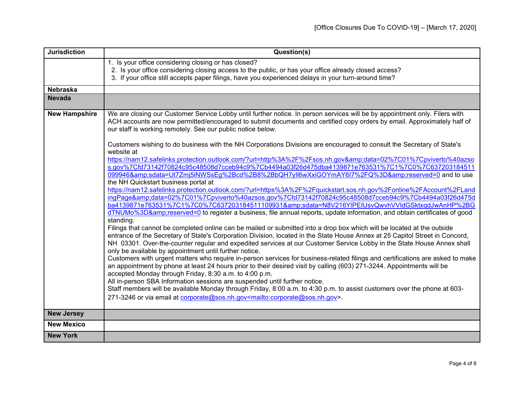| <b>Jurisdiction</b>  | Question(s)                                                                                                                                                                                                                                                                                                                                                                                                                                                                                                                                                                                                                                                                                                                                                                                                                                                                                                                                                                                                                                                                                                                                                                                                                                                                                                                                                                                                                                                                                                                                   |
|----------------------|-----------------------------------------------------------------------------------------------------------------------------------------------------------------------------------------------------------------------------------------------------------------------------------------------------------------------------------------------------------------------------------------------------------------------------------------------------------------------------------------------------------------------------------------------------------------------------------------------------------------------------------------------------------------------------------------------------------------------------------------------------------------------------------------------------------------------------------------------------------------------------------------------------------------------------------------------------------------------------------------------------------------------------------------------------------------------------------------------------------------------------------------------------------------------------------------------------------------------------------------------------------------------------------------------------------------------------------------------------------------------------------------------------------------------------------------------------------------------------------------------------------------------------------------------|
|                      | 1. Is your office considering closing or has closed?<br>2. Is your office considering closing access to the public, or has your office already closed access?<br>3. If your office still accepts paper filings, have you experienced delays in your turn-around time?                                                                                                                                                                                                                                                                                                                                                                                                                                                                                                                                                                                                                                                                                                                                                                                                                                                                                                                                                                                                                                                                                                                                                                                                                                                                         |
| <b>Nebraska</b>      |                                                                                                                                                                                                                                                                                                                                                                                                                                                                                                                                                                                                                                                                                                                                                                                                                                                                                                                                                                                                                                                                                                                                                                                                                                                                                                                                                                                                                                                                                                                                               |
| <b>Nevada</b>        |                                                                                                                                                                                                                                                                                                                                                                                                                                                                                                                                                                                                                                                                                                                                                                                                                                                                                                                                                                                                                                                                                                                                                                                                                                                                                                                                                                                                                                                                                                                                               |
| <b>New Hampshire</b> | We are closing our Customer Service Lobby until further notice. In person services will be by appointment only. Filers with<br>ACH accounts are now permitted/encouraged to submit documents and certified copy orders by email. Approximately half of<br>our staff is working remotely. See our public notice below.                                                                                                                                                                                                                                                                                                                                                                                                                                                                                                                                                                                                                                                                                                                                                                                                                                                                                                                                                                                                                                                                                                                                                                                                                         |
|                      | Customers wishing to do business with the NH Corporations Divisions are encouraged to consult the Secretary of State's<br>website at<br>https://nam12.safelinks.protection.outlook.com/?url=http%3A%2F%2Fsos.nh.gov&data=02%7C01%7Cpviverto%40azso<br>s.gov%7Cfd73142f70824c95c48508d7cceb94c9%7Cb4494a03f26d475dba4139871e763531%7C1%7C0%7C637203184511<br>099946&sdata=Ut7Zmj5iNWSsEg%2Bcd%2B8%2BbQH7yll6wXxiGOYmAY6I7%2FQ%3D&reserved=0 and to use<br>the NH Quickstart business portal at<br>https://nam12.safelinks.protection.outlook.com/?url=https%3A%2F%2Fquickstart.sos.nh.gov%2Fonline%2FAccount%2FLand<br>ingPage&data=02%7C01%7Cpviverto%40azsos.gov%7Cfd73142f70824c95c48508d7cceb94c9%7Cb4494a03f26d475d<br>ba4139871e763531%7C1%7C0%7C637203184511109931&sdata=N8V216YIPEIUsvQwvhVVIdGSktxqdJwAnHP%2BG<br>dTNUMo%3D&reserved=0 to register a business, file annual reports, update information, and obtain certificates of good<br>standing.<br>Filings that cannot be completed online can be mailed or submitted into a drop box which will be located at the outside<br>entrance of the Secretary of State's Corporation Division, located in the State House Annex at 25 Capitol Street in Concord,<br>NH 03301. Over-the-counter regular and expedited services at our Customer Service Lobby in the State House Annex shall<br>only be available by appointment until further notice.<br>Customers with urgent matters who require in-person services for business-related filings and certifications are asked to make |
|                      | an appointment by phone at least 24 hours prior to their desired visit by calling (603) 271-3244. Appointments will be<br>accepted Monday through Friday, 8:30 a.m. to 4:00 p.m.<br>All in-person SBA Information sessions are suspended until further notice.<br>Staff members will be available Monday through Friday, 8:00 a.m. to 4:30 p.m. to assist customers over the phone at 603-                                                                                                                                                                                                                                                                                                                                                                                                                                                                                                                                                                                                                                                                                                                                                                                                                                                                                                                                                                                                                                                                                                                                                    |
|                      | 271-3246 or via email at corporate@sos.nh.gov <mailto:corporate@sos.nh.gov>.</mailto:corporate@sos.nh.gov>                                                                                                                                                                                                                                                                                                                                                                                                                                                                                                                                                                                                                                                                                                                                                                                                                                                                                                                                                                                                                                                                                                                                                                                                                                                                                                                                                                                                                                    |
| <b>New Jersey</b>    |                                                                                                                                                                                                                                                                                                                                                                                                                                                                                                                                                                                                                                                                                                                                                                                                                                                                                                                                                                                                                                                                                                                                                                                                                                                                                                                                                                                                                                                                                                                                               |
| <b>New Mexico</b>    |                                                                                                                                                                                                                                                                                                                                                                                                                                                                                                                                                                                                                                                                                                                                                                                                                                                                                                                                                                                                                                                                                                                                                                                                                                                                                                                                                                                                                                                                                                                                               |
| <b>New York</b>      |                                                                                                                                                                                                                                                                                                                                                                                                                                                                                                                                                                                                                                                                                                                                                                                                                                                                                                                                                                                                                                                                                                                                                                                                                                                                                                                                                                                                                                                                                                                                               |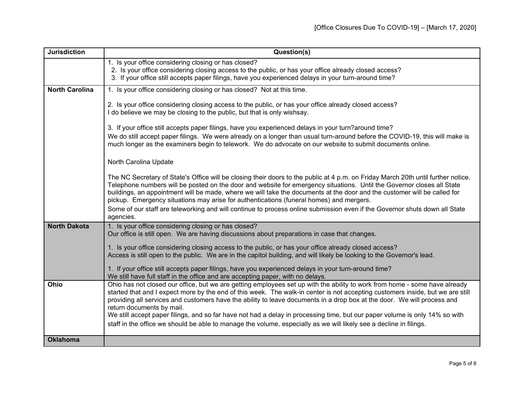| <b>Jurisdiction</b>   | Question(s)                                                                                                                                                                                                                                                                                                                                                                                                                                                                                                                                                                                                                                                               |
|-----------------------|---------------------------------------------------------------------------------------------------------------------------------------------------------------------------------------------------------------------------------------------------------------------------------------------------------------------------------------------------------------------------------------------------------------------------------------------------------------------------------------------------------------------------------------------------------------------------------------------------------------------------------------------------------------------------|
|                       | 1. Is your office considering closing or has closed?<br>2. Is your office considering closing access to the public, or has your office already closed access?<br>3. If your office still accepts paper filings, have you experienced delays in your turn-around time?                                                                                                                                                                                                                                                                                                                                                                                                     |
| <b>North Carolina</b> | 1. Is your office considering closing or has closed? Not at this time.                                                                                                                                                                                                                                                                                                                                                                                                                                                                                                                                                                                                    |
|                       | 2. Is your office considering closing access to the public, or has your office already closed access?<br>I do believe we may be closing to the public, but that is only wishsay.                                                                                                                                                                                                                                                                                                                                                                                                                                                                                          |
|                       | 3. If your office still accepts paper filings, have you experienced delays in your turn?around time?<br>We do still accept paper filings. We were already on a longer than usual turn-around before the COVID-19, this will make is<br>much longer as the examiners begin to telework. We do advocate on our website to submit documents online.                                                                                                                                                                                                                                                                                                                          |
|                       | North Carolina Update                                                                                                                                                                                                                                                                                                                                                                                                                                                                                                                                                                                                                                                     |
|                       | The NC Secretary of State's Office will be closing their doors to the public at 4 p.m. on Friday March 20th until further notice.<br>Telephone numbers will be posted on the door and website for emergency situations. Until the Governor closes all State<br>buildings, an appointment will be made, where we will take the documents at the door and the customer will be called for<br>pickup. Emergency situations may arise for authentications (funeral homes) and mergers.<br>Some of our staff are teleworking and will continue to process online submission even if the Governor shuts down all State<br>agencies.                                             |
| <b>North Dakota</b>   | 1. Is your office considering closing or has closed?<br>Our office is still open. We are having discussions about preparations in case that changes.                                                                                                                                                                                                                                                                                                                                                                                                                                                                                                                      |
|                       | 1. Is your office considering closing access to the public, or has your office already closed access?<br>Access is still open to the public. We are in the capitol building, and will likely be looking to the Governor's lead.                                                                                                                                                                                                                                                                                                                                                                                                                                           |
|                       | 1. If your office still accepts paper filings, have you experienced delays in your turn-around time?<br>We still have full staff in the office and are accepting paper, with no delays.                                                                                                                                                                                                                                                                                                                                                                                                                                                                                   |
| Ohio                  | Ohio has not closed our office, but we are getting employees set up with the ability to work from home - some have already<br>started that and I expect more by the end of this week. The walk-in center is not accepting customers inside, but we are still<br>providing all services and customers have the ability to leave documents in a drop box at the door. We will process and<br>return documents by mail.<br>We still accept paper filings, and so far have not had a delay in processing time, but our paper volume is only 14% so with<br>staff in the office we should be able to manage the volume, especially as we will likely see a decline in filings. |
| <b>Oklahoma</b>       |                                                                                                                                                                                                                                                                                                                                                                                                                                                                                                                                                                                                                                                                           |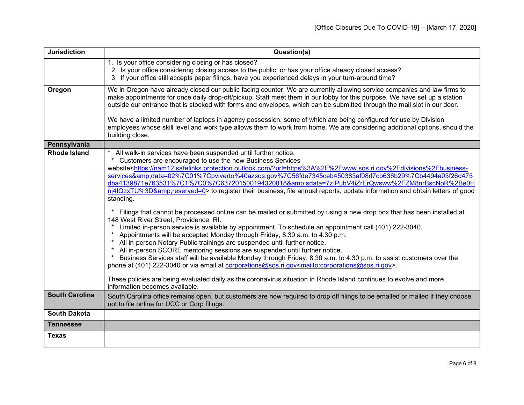| <b>Jurisdiction</b>   | Question(s)                                                                                                                                                                                                                                                                                                                                                                                                                                                                                                                                                                                                                                                                                                                                                                                                                                                                                                                                                                                                                                                                                                                                                                                                                                                                                                                                                                                                                                                                                                                                                                            |
|-----------------------|----------------------------------------------------------------------------------------------------------------------------------------------------------------------------------------------------------------------------------------------------------------------------------------------------------------------------------------------------------------------------------------------------------------------------------------------------------------------------------------------------------------------------------------------------------------------------------------------------------------------------------------------------------------------------------------------------------------------------------------------------------------------------------------------------------------------------------------------------------------------------------------------------------------------------------------------------------------------------------------------------------------------------------------------------------------------------------------------------------------------------------------------------------------------------------------------------------------------------------------------------------------------------------------------------------------------------------------------------------------------------------------------------------------------------------------------------------------------------------------------------------------------------------------------------------------------------------------|
|                       | 1. Is your office considering closing or has closed?<br>2. Is your office considering closing access to the public, or has your office already closed access?<br>3. If your office still accepts paper filings, have you experienced delays in your turn-around time?                                                                                                                                                                                                                                                                                                                                                                                                                                                                                                                                                                                                                                                                                                                                                                                                                                                                                                                                                                                                                                                                                                                                                                                                                                                                                                                  |
| Oregon                | We in Oregon have already closed our public facing counter. We are currently allowing service companies and law firms to<br>make appointments for once daily drop-off/pickup. Staff meet them in our lobby for this purpose. We have set up a station<br>outside our entrance that is stocked with forms and envelopes, which can be submitted through the mail slot in our door.<br>We have a limited number of laptops in agency possession, some of which are being configured for use by Division<br>employees whose skill level and work type allows them to work from home. We are considering additional options, should the<br>building close.                                                                                                                                                                                                                                                                                                                                                                                                                                                                                                                                                                                                                                                                                                                                                                                                                                                                                                                                 |
| Pennsylvania          |                                                                                                                                                                                                                                                                                                                                                                                                                                                                                                                                                                                                                                                                                                                                                                                                                                                                                                                                                                                                                                                                                                                                                                                                                                                                                                                                                                                                                                                                                                                                                                                        |
| <b>Rhode Island</b>   | * All walk-in services have been suspended until further notice.<br>Customers are encouraged to use the new Business Services<br>website <https: ?url="https%3A%2F%2Fwww.sos.ri.gov%2Fdivisions%2Fbusiness-&lt;br" nam12.safelinks.protection.outlook.com="">services&amp;data=02%7C01%7Cpviverto%40azsos.gov%7C56fde7345ceb450383af08d7cb636b29%7Cb4494a03f26d475<br/>dba4139871e763531%7C1%7C0%7C637201500194320818&amp;sdata=7zlPubV4iZrErQwsww%2FZM8nrBscNoR%2Be0H<br/>nj4IQzxTU%3D&amp;reserved=0&gt; to register their business, file annual reports, update information and obtain letters of good<br/>standing.<br/>Filings that cannot be processed online can be mailed or submitted by using a new drop box that has been installed at<br/>148 West River Street, Providence, RI.<br/>Limited in-person service is available by appointment. To schedule an appointment call (401) 222-3040.<br/>Appointments will be accepted Monday through Friday, 8:30 a.m. to 4:30 p.m.<br/>All in-person Notary Public trainings are suspended until further notice.<br/>All in-person SCORE mentoring sessions are suspended until further notice.<br/>Business Services staff will be available Monday through Friday, 8:30 a.m. to 4:30 p.m. to assist customers over the<br/>phone at (401) 222-3040 or via email at corporations@sos.ri.gov<mailto:corporations@sos.ri.gov>.<br/>These policies are being evaluated daily as the coronavirus situation in Rhode Island continues to evolve and more<br/>information becomes available.</mailto:corporations@sos.ri.gov></https:> |
| <b>South Carolina</b> | South Carolina office remains open, but customers are now required to drop off filings to be emailed or mailed if they choose<br>not to file online for UCC or Corp filings.                                                                                                                                                                                                                                                                                                                                                                                                                                                                                                                                                                                                                                                                                                                                                                                                                                                                                                                                                                                                                                                                                                                                                                                                                                                                                                                                                                                                           |
| <b>South Dakota</b>   |                                                                                                                                                                                                                                                                                                                                                                                                                                                                                                                                                                                                                                                                                                                                                                                                                                                                                                                                                                                                                                                                                                                                                                                                                                                                                                                                                                                                                                                                                                                                                                                        |
| <b>Tennessee</b>      |                                                                                                                                                                                                                                                                                                                                                                                                                                                                                                                                                                                                                                                                                                                                                                                                                                                                                                                                                                                                                                                                                                                                                                                                                                                                                                                                                                                                                                                                                                                                                                                        |
| <b>Texas</b>          |                                                                                                                                                                                                                                                                                                                                                                                                                                                                                                                                                                                                                                                                                                                                                                                                                                                                                                                                                                                                                                                                                                                                                                                                                                                                                                                                                                                                                                                                                                                                                                                        |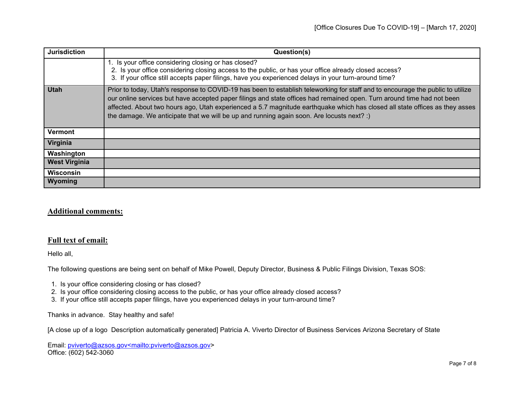| <b>Jurisdiction</b>  | Question(s)                                                                                                                                                                                                                                                                                                                                                                                                                                                                          |
|----------------------|--------------------------------------------------------------------------------------------------------------------------------------------------------------------------------------------------------------------------------------------------------------------------------------------------------------------------------------------------------------------------------------------------------------------------------------------------------------------------------------|
|                      | 1. Is your office considering closing or has closed?<br>2. Is your office considering closing access to the public, or has your office already closed access?<br>3. If your office still accepts paper filings, have you experienced delays in your turn-around time?                                                                                                                                                                                                                |
| <b>Utah</b>          | Prior to today, Utah's response to COVID-19 has been to establish teleworking for staff and to encourage the public to utilize<br>our online services but have accepted paper filings and state offices had remained open. Turn around time had not been<br>affected. About two hours ago, Utah experienced a 5.7 magnitude earthquake which has closed all state offices as they asses<br>the damage. We anticipate that we will be up and running again soon. Are locusts next? :) |
| <b>Vermont</b>       |                                                                                                                                                                                                                                                                                                                                                                                                                                                                                      |
| Virginia             |                                                                                                                                                                                                                                                                                                                                                                                                                                                                                      |
| Washington           |                                                                                                                                                                                                                                                                                                                                                                                                                                                                                      |
| <b>West Virginia</b> |                                                                                                                                                                                                                                                                                                                                                                                                                                                                                      |
| <b>Wisconsin</b>     |                                                                                                                                                                                                                                                                                                                                                                                                                                                                                      |
| Wyoming              |                                                                                                                                                                                                                                                                                                                                                                                                                                                                                      |

## **Additional comments:**

## **Full text of email:**

Hello all,

The following questions are being sent on behalf of Mike Powell, Deputy Director, Business & Public Filings Division, Texas SOS:

- 1. Is your office considering closing or has closed?
- 2. Is your office considering closing access to the public, or has your office already closed access?
- 3. If your office still accepts paper filings, have you experienced delays in your turn-around time?

Thanks in advance. Stay healthy and safe!

[A close up of a logo Description automatically generated] Patricia A. Viverto Director of Business Services Arizona Secretary of State

Email: [pviverto@azsos.gov<mailto:pviverto@azsos.gov>](mailto:pviverto@azsos.gov%3cmailto:pviverto@azsos.gov) Office: (602) 542-3060